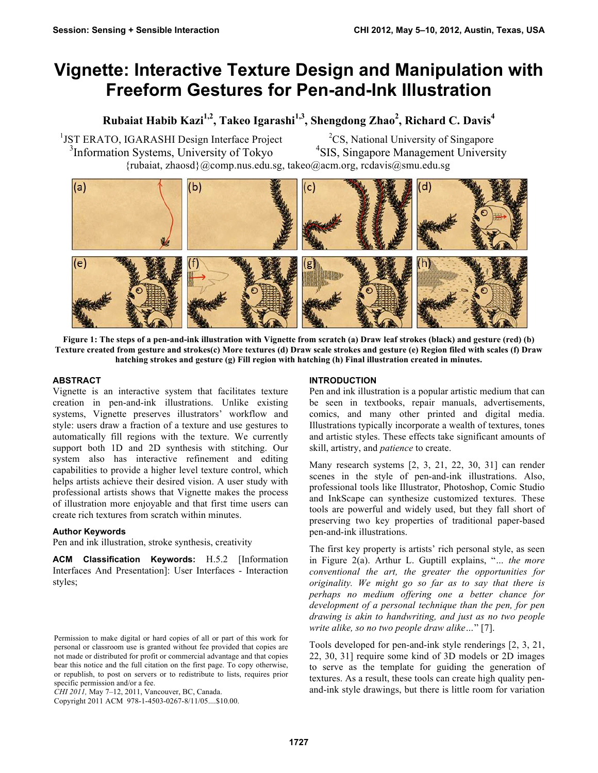# **Vignette: Interactive Texture Design and Manipulation with Freeform Gestures for Pen-and-Ink Illustration**

## **Rubaiat Habib Kazi1,2, Takeo Igarashi1,3, Shengdong Zhao2 , Richard C. Davis<sup>4</sup>**

<sup>1</sup>JST ERATO, IGARASHI Design Interface Project 3 Information Systems, University of Tokyo {rubaiat, zhaosd}@comp.nus.edu.sg, takeo@acm.org, rcdavis@smu.edu.sg

<sup>2</sup>CS, National University of Singapore 4 SIS, Singapore Management University

 $(a)$ (b)  $(c)$  $\mathsf{d}$  $(e)$ h

**Figure 1: The steps of a pen-and-ink illustration with Vignette from scratch (a) Draw leaf strokes (black) and gesture (red) (b) Texture created from gesture and strokes(c) More textures (d) Draw scale strokes and gesture (e) Region filed with scales (f) Draw hatching strokes and gesture (g) Fill region with hatching (h) Final illustration created in minutes.** 

## **ABSTRACT**

Vignette is an interactive system that facilitates texture creation in pen-and-ink illustrations. Unlike existing systems, Vignette preserves illustrators' workflow and style: users draw a fraction of a texture and use gestures to automatically fill regions with the texture. We currently support both 1D and 2D synthesis with stitching. Our system also has interactive refinement and editing capabilities to provide a higher level texture control, which helps artists achieve their desired vision. A user study with professional artists shows that Vignette makes the process of illustration more enjoyable and that first time users can create rich textures from scratch within minutes.

## **Author Keywords**

Pen and ink illustration, stroke synthesis, creativity

**ACM Classification Keywords:** H.5.2 [Information Interfaces And Presentation]: User Interfaces - Interaction styles;

Copyright 2011 ACM 978-1-4503-0267-8/11/05....\$10.00.

## **INTRODUCTION**

Pen and ink illustration is a popular artistic medium that can be seen in textbooks, repair manuals, advertisements, comics, and many other printed and digital media. Illustrations typically incorporate a wealth of textures, tones and artistic styles. These effects take significant amounts of skill, artistry, and *patience* to create.

Many research systems [2, 3, 21, 22, 30, 31] can render scenes in the style of pen-and-ink illustrations. Also, professional tools like Illustrator, Photoshop, Comic Studio and InkScape can synthesize customized textures. These tools are powerful and widely used, but they fall short of preserving two key properties of traditional paper-based pen-and-ink illustrations.

The first key property is artists' rich personal style, as seen in Figure 2(a). Arthur L. Guptill explains, "*… the more conventional the art, the greater the opportunities for originality. We might go so far as to say that there is perhaps no medium offering one a better chance for development of a personal technique than the pen, for pen drawing is akin to handwriting, and just as no two people write alike, so no two people draw alike…*" [7].

Tools developed for pen-and-ink style renderings [2, 3, 21, 22, 30, 31] require some kind of 3D models or 2D images to serve as the template for guiding the generation of textures. As a result, these tools can create high quality penand-ink style drawings, but there is little room for variation

Permission to make digital or hard copies of all or part of this work for personal or classroom use is granted without fee provided that copies are not made or distributed for profit or commercial advantage and that copies bear this notice and the full citation on the first page. To copy otherwise, or republish, to post on servers or to redistribute to lists, requires prior specific permission and/or a fee.

*CHI 2011,* May 7–12, 2011, Vancouver, BC, Canada.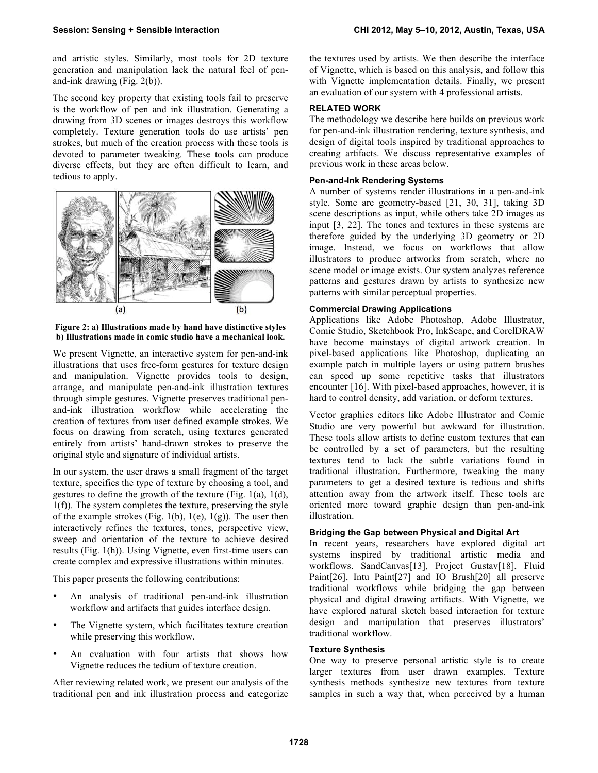and artistic styles. Similarly, most tools for 2D texture generation and manipulation lack the natural feel of penand-ink drawing (Fig. 2(b)).

The second key property that existing tools fail to preserve is the workflow of pen and ink illustration. Generating a drawing from 3D scenes or images destroys this workflow completely. Texture generation tools do use artists' pen strokes, but much of the creation process with these tools is devoted to parameter tweaking. These tools can produce diverse effects, but they are often difficult to learn, and tedious to apply.



**Figure 2: a) Illustrations made by hand have distinctive styles b) Illustrations made in comic studio have a mechanical look.**

We present Vignette, an interactive system for pen-and-ink illustrations that uses free-form gestures for texture design and manipulation. Vignette provides tools to design, arrange, and manipulate pen-and-ink illustration textures through simple gestures. Vignette preserves traditional penand-ink illustration workflow while accelerating the creation of textures from user defined example strokes. We focus on drawing from scratch, using textures generated entirely from artists' hand-drawn strokes to preserve the original style and signature of individual artists.

In our system, the user draws a small fragment of the target texture, specifies the type of texture by choosing a tool, and gestures to define the growth of the texture (Fig. 1(a), 1(d), 1(f)). The system completes the texture, preserving the style of the example strokes (Fig. 1(b),  $1(e)$ ,  $1(g)$ ). The user then interactively refines the textures, tones, perspective view, sweep and orientation of the texture to achieve desired results (Fig. 1(h)). Using Vignette, even first-time users can create complex and expressive illustrations within minutes.

This paper presents the following contributions:

- An analysis of traditional pen-and-ink illustration workflow and artifacts that guides interface design.
- The Vignette system, which facilitates texture creation while preserving this workflow.
- An evaluation with four artists that shows how Vignette reduces the tedium of texture creation.

After reviewing related work, we present our analysis of the traditional pen and ink illustration process and categorize

the textures used by artists. We then describe the interface of Vignette, which is based on this analysis, and follow this with Vignette implementation details. Finally, we present an evaluation of our system with 4 professional artists.

## **RELATED WORK**

The methodology we describe here builds on previous work for pen-and-ink illustration rendering, texture synthesis, and design of digital tools inspired by traditional approaches to creating artifacts. We discuss representative examples of previous work in these areas below.

## **Pen-and-Ink Rendering Systems**

A number of systems render illustrations in a pen-and-ink style. Some are geometry-based [21, 30, 31], taking 3D scene descriptions as input, while others take 2D images as input [3, 22]. The tones and textures in these systems are therefore guided by the underlying 3D geometry or 2D image. Instead, we focus on workflows that allow illustrators to produce artworks from scratch, where no scene model or image exists. Our system analyzes reference patterns and gestures drawn by artists to synthesize new patterns with similar perceptual properties.

#### **Commercial Drawing Applications**

Applications like Adobe Photoshop, Adobe Illustrator, Comic Studio, Sketchbook Pro, InkScape, and CorelDRAW have become mainstays of digital artwork creation. In pixel-based applications like Photoshop, duplicating an example patch in multiple layers or using pattern brushes can speed up some repetitive tasks that illustrators encounter [16]. With pixel-based approaches, however, it is hard to control density, add variation, or deform textures.

Vector graphics editors like Adobe Illustrator and Comic Studio are very powerful but awkward for illustration. These tools allow artists to define custom textures that can be controlled by a set of parameters, but the resulting textures tend to lack the subtle variations found in traditional illustration. Furthermore, tweaking the many parameters to get a desired texture is tedious and shifts attention away from the artwork itself. These tools are oriented more toward graphic design than pen-and-ink illustration.

## **Bridging the Gap between Physical and Digital Art**

In recent years, researchers have explored digital art systems inspired by traditional artistic media and workflows. SandCanvas[13], Project Gustav[18], Fluid Paint[26], Intu Paint[27] and IO Brush[20] all preserve traditional workflows while bridging the gap between physical and digital drawing artifacts. With Vignette, we have explored natural sketch based interaction for texture design and manipulation that preserves illustrators' traditional workflow.

## **Texture Synthesis**

One way to preserve personal artistic style is to create larger textures from user drawn examples. Texture synthesis methods synthesize new textures from texture samples in such a way that, when perceived by a human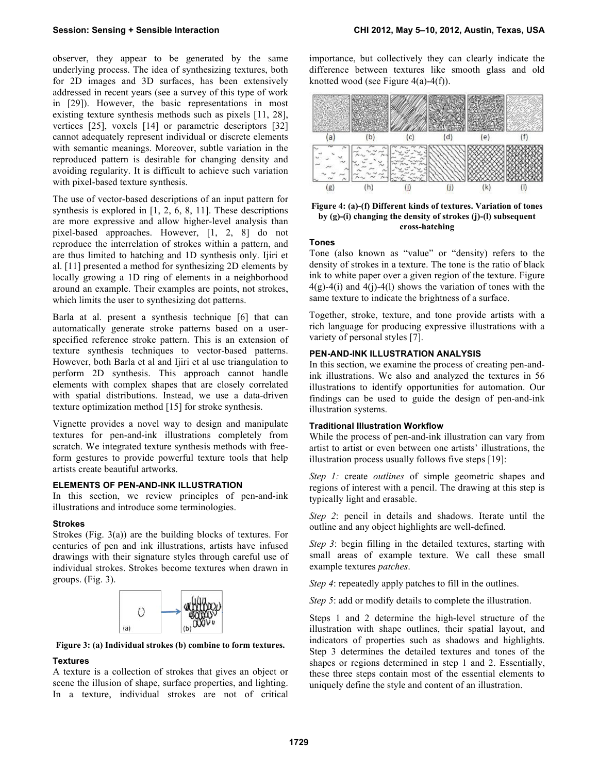observer, they appear to be generated by the same underlying process. The idea of synthesizing textures, both for 2D images and 3D surfaces, has been extensively addressed in recent years (see a survey of this type of work in [29]). However, the basic representations in most existing texture synthesis methods such as pixels [11, 28], vertices [25], voxels [14] or parametric descriptors [32] cannot adequately represent individual or discrete elements with semantic meanings. Moreover, subtle variation in the reproduced pattern is desirable for changing density and avoiding regularity. It is difficult to achieve such variation with pixel-based texture synthesis.

The use of vector-based descriptions of an input pattern for synthesis is explored in [1, 2, 6, 8, 11]. These descriptions are more expressive and allow higher-level analysis than pixel-based approaches. However, [1, 2, 8] do not reproduce the interrelation of strokes within a pattern, and are thus limited to hatching and 1D synthesis only. Ijiri et al. [11] presented a method for synthesizing 2D elements by locally growing a 1D ring of elements in a neighborhood around an example. Their examples are points, not strokes, which limits the user to synthesizing dot patterns.

Barla at al. present a synthesis technique [6] that can automatically generate stroke patterns based on a userspecified reference stroke pattern. This is an extension of texture synthesis techniques to vector-based patterns. However, both Barla et al and Ijiri et al use triangulation to perform 2D synthesis. This approach cannot handle elements with complex shapes that are closely correlated with spatial distributions. Instead, we use a data-driven texture optimization method [15] for stroke synthesis.

Vignette provides a novel way to design and manipulate textures for pen-and-ink illustrations completely from scratch. We integrated texture synthesis methods with freeform gestures to provide powerful texture tools that help artists create beautiful artworks.

#### **ELEMENTS OF PEN-AND-INK ILLUSTRATION**

In this section, we review principles of pen-and-ink illustrations and introduce some terminologies.

#### **Strokes**

Strokes (Fig. 3(a)) are the building blocks of textures. For centuries of pen and ink illustrations, artists have infused drawings with their signature styles through careful use of individual strokes. Strokes become textures when drawn in groups. (Fig. 3).



**Figure 3: (a) Individual strokes (b) combine to form textures.**

#### **Textures**

A texture is a collection of strokes that gives an object or scene the illusion of shape, surface properties, and lighting. In a texture, individual strokes are not of critical importance, but collectively they can clearly indicate the difference between textures like smooth glass and old knotted wood (see Figure  $4(a)-4(f)$ ).



**Figure 4: (a)-(f) Different kinds of textures. Variation of tones by (g)-(i) changing the density of strokes (j)-(l) subsequent cross-hatching** 

#### **Tones**

Tone (also known as "value" or "density) refers to the density of strokes in a texture. The tone is the ratio of black ink to white paper over a given region of the texture. Figure  $4(g) - 4(i)$  and  $4(i) - 4(l)$  shows the variation of tones with the same texture to indicate the brightness of a surface.

Together, stroke, texture, and tone provide artists with a rich language for producing expressive illustrations with a variety of personal styles [7].

## **PEN-AND-INK ILLUSTRATION ANALYSIS**

In this section, we examine the process of creating pen-andink illustrations. We also and analyzed the textures in 56 illustrations to identify opportunities for automation. Our findings can be used to guide the design of pen-and-ink illustration systems.

## **Traditional Illustration Workflow**

While the process of pen-and-ink illustration can vary from artist to artist or even between one artists' illustrations, the illustration process usually follows five steps [19]:

*Step 1:* create *outlines* of simple geometric shapes and regions of interest with a pencil. The drawing at this step is typically light and erasable.

*Step 2*: pencil in details and shadows. Iterate until the outline and any object highlights are well-defined.

*Step 3*: begin filling in the detailed textures, starting with small areas of example texture. We call these small example textures *patches*.

*Step 4*: repeatedly apply patches to fill in the outlines.

*Step 5*: add or modify details to complete the illustration.

Steps 1 and 2 determine the high-level structure of the illustration with shape outlines, their spatial layout, and indicators of properties such as shadows and highlights. Step 3 determines the detailed textures and tones of the shapes or regions determined in step 1 and 2. Essentially, these three steps contain most of the essential elements to uniquely define the style and content of an illustration.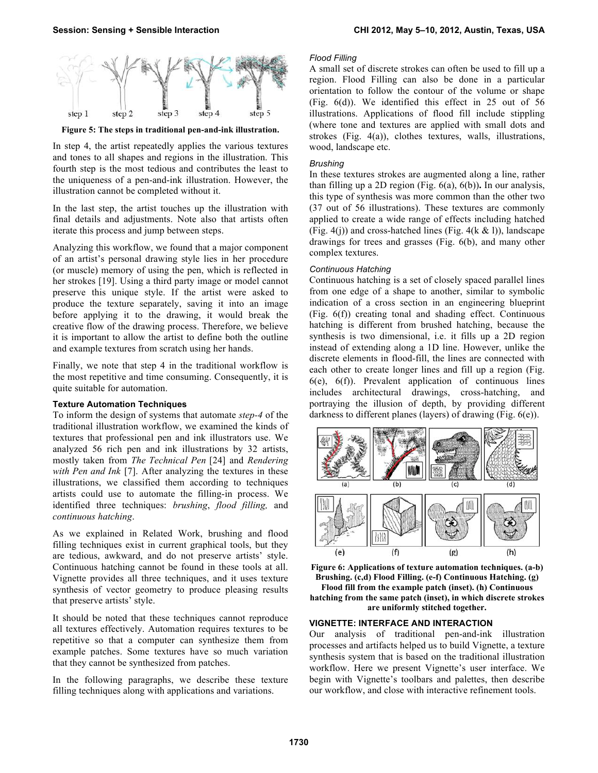

**Figure 5: The steps in traditional pen-and-ink illustration.** 

In step 4, the artist repeatedly applies the various textures and tones to all shapes and regions in the illustration. This fourth step is the most tedious and contributes the least to the uniqueness of a pen-and-ink illustration. However, the illustration cannot be completed without it.

In the last step, the artist touches up the illustration with final details and adjustments. Note also that artists often iterate this process and jump between steps.

Analyzing this workflow, we found that a major component of an artist's personal drawing style lies in her procedure (or muscle) memory of using the pen, which is reflected in her strokes [19]. Using a third party image or model cannot preserve this unique style. If the artist were asked to produce the texture separately, saving it into an image before applying it to the drawing, it would break the creative flow of the drawing process. Therefore, we believe it is important to allow the artist to define both the outline and example textures from scratch using her hands.

Finally, we note that step 4 in the traditional workflow is the most repetitive and time consuming. Consequently, it is quite suitable for automation.

#### **Texture Automation Techniques**

To inform the design of systems that automate *step-4* of the traditional illustration workflow, we examined the kinds of textures that professional pen and ink illustrators use. We analyzed 56 rich pen and ink illustrations by 32 artists, mostly taken from *The Technical Pen* [24] and *Rendering with Pen and Ink* [7]. After analyzing the textures in these illustrations, we classified them according to techniques artists could use to automate the filling-in process. We identified three techniques: *brushing*, *flood filling,* and *continuous hatching*.

As we explained in Related Work, brushing and flood filling techniques exist in current graphical tools, but they are tedious, awkward, and do not preserve artists' style. Continuous hatching cannot be found in these tools at all. Vignette provides all three techniques, and it uses texture synthesis of vector geometry to produce pleasing results that preserve artists' style.

It should be noted that these techniques cannot reproduce all textures effectively. Automation requires textures to be repetitive so that a computer can synthesize them from example patches. Some textures have so much variation that they cannot be synthesized from patches.

In the following paragraphs, we describe these texture filling techniques along with applications and variations.

## *Flood Filling*

A small set of discrete strokes can often be used to fill up a region. Flood Filling can also be done in a particular orientation to follow the contour of the volume or shape (Fig. 6(d)). We identified this effect in 25 out of 56 illustrations. Applications of flood fill include stippling (where tone and textures are applied with small dots and strokes (Fig. 4(a)), clothes textures, walls, illustrations, wood, landscape etc.

#### *Brushing*

In these textures strokes are augmented along a line, rather than filling up a 2D region (Fig. 6(a), 6(b))**.** In our analysis, this type of synthesis was more common than the other two (37 out of 56 illustrations). These textures are commonly applied to create a wide range of effects including hatched (Fig. 4(j)) and cross-hatched lines (Fig. 4(k  $\&$  l)), landscape drawings for trees and grasses (Fig. 6(b), and many other complex textures.

#### *Continuous Hatching*

Continuous hatching is a set of closely spaced parallel lines from one edge of a shape to another, similar to symbolic indication of a cross section in an engineering blueprint (Fig. 6(f)) creating tonal and shading effect. Continuous hatching is different from brushed hatching, because the synthesis is two dimensional, i.e. it fills up a 2D region instead of extending along a 1D line. However, unlike the discrete elements in flood-fill, the lines are connected with each other to create longer lines and fill up a region (Fig. 6(e), 6(f)). Prevalent application of continuous lines includes architectural drawings, cross-hatching, and portraying the illusion of depth, by providing different darkness to different planes (layers) of drawing (Fig. 6(e)).



**Figure 6: Applications of texture automation techniques. (a-b) Brushing. (c,d) Flood Filling. (e-f) Continuous Hatching. (g) Flood fill from the example patch (inset). (h) Continuous hatching from the same patch (inset), in which discrete strokes are uniformly stitched together.**

#### **VIGNETTE: INTERFACE AND INTERACTION**

Our analysis of traditional pen-and-ink illustration processes and artifacts helped us to build Vignette, a texture synthesis system that is based on the traditional illustration workflow. Here we present Vignette's user interface. We begin with Vignette's toolbars and palettes, then describe our workflow, and close with interactive refinement tools.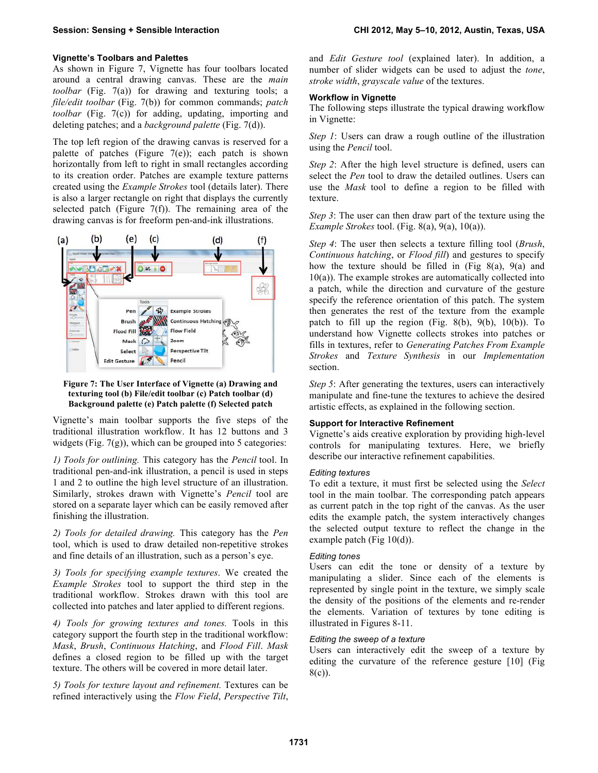## **Vignette's Toolbars and Palettes**

As shown in Figure 7, Vignette has four toolbars located around a central drawing canvas. These are the *main toolbar* (Fig. 7(a)) for drawing and texturing tools; a *file/edit toolbar* (Fig. 7(b)) for common commands; *patch toolbar* (Fig. 7(c)) for adding, updating, importing and deleting patches; and a *background palette* (Fig. 7(d)).

The top left region of the drawing canvas is reserved for a palette of patches (Figure  $7(e)$ ); each patch is shown horizontally from left to right in small rectangles according to its creation order. Patches are example texture patterns created using the *Example Strokes* tool (details later). There is also a larger rectangle on right that displays the currently selected patch (Figure  $7(f)$ ). The remaining area of the drawing canvas is for freeform pen-and-ink illustrations.



#### **Figure 7: The User Interface of Vignette (a) Drawing and texturing tool (b) File/edit toolbar (c) Patch toolbar (d) Background palette (e) Patch palette (f) Selected patch**

Vignette's main toolbar supports the five steps of the traditional illustration workflow. It has 12 buttons and 3 widgets (Fig.  $7(g)$ ), which can be grouped into 5 categories:

*1) Tools for outlining.* This category has the *Pencil* tool. In traditional pen-and-ink illustration, a pencil is used in steps 1 and 2 to outline the high level structure of an illustration. Similarly, strokes drawn with Vignette's *Pencil* tool are stored on a separate layer which can be easily removed after finishing the illustration.

*2) Tools for detailed drawing.* This category has the *Pen* tool, which is used to draw detailed non-repetitive strokes and fine details of an illustration, such as a person's eye.

*3) Tools for specifying example textures*. We created the *Example Strokes* tool to support the third step in the traditional workflow. Strokes drawn with this tool are collected into patches and later applied to different regions.

*4) Tools for growing textures and tones.* Tools in this category support the fourth step in the traditional workflow: *Mask*, *Brush*, *Continuous Hatching*, and *Flood Fill*. *Mask* defines a closed region to be filled up with the target texture. The others will be covered in more detail later.

*5) Tools for texture layout and refinement.* Textures can be refined interactively using the *Flow Field*, *Perspective Tilt*, and *Edit Gesture tool* (explained later). In addition, a number of slider widgets can be used to adjust the *tone*, *stroke width*, *grayscale value* of the textures.

## **Workflow in Vignette**

The following steps illustrate the typical drawing workflow in Vignette:

*Step 1*: Users can draw a rough outline of the illustration using the *Pencil* tool.

*Step 2*: After the high level structure is defined, users can select the *Pen* tool to draw the detailed outlines. Users can use the *Mask* tool to define a region to be filled with texture.

*Step 3*: The user can then draw part of the texture using the *Example Strokes* tool. (Fig. 8(a), 9(a), 10(a)).

*Step 4*: The user then selects a texture filling tool (*Brush*, *Continuous hatching*, or *Flood fill*) and gestures to specify how the texture should be filled in (Fig  $8(a)$ ,  $9(a)$  and  $10(a)$ ). The example strokes are automatically collected into a patch, while the direction and curvature of the gesture specify the reference orientation of this patch. The system then generates the rest of the texture from the example patch to fill up the region (Fig. 8(b), 9(b), 10(b)). To understand how Vignette collects strokes into patches or fills in textures, refer to *Generating Patches From Example Strokes* and *Texture Synthesis* in our *Implementation* section.

*Step 5*: After generating the textures, users can interactively manipulate and fine-tune the textures to achieve the desired artistic effects, as explained in the following section.

#### **Support for Interactive Refinement**

Vignette's aids creative exploration by providing high-level controls for manipulating textures. Here, we briefly describe our interactive refinement capabilities.

#### *Editing textures*

To edit a texture, it must first be selected using the *Select* tool in the main toolbar. The corresponding patch appears as current patch in the top right of the canvas. As the user edits the example patch, the system interactively changes the selected output texture to reflect the change in the example patch (Fig 10(d)).

#### *Editing tones*

Users can edit the tone or density of a texture by manipulating a slider. Since each of the elements is represented by single point in the texture, we simply scale the density of the positions of the elements and re-render the elements. Variation of textures by tone editing is illustrated in Figures 8-11.

## *Editing the sweep of a texture*

Users can interactively edit the sweep of a texture by editing the curvature of the reference gesture [10] (Fig 8(c)).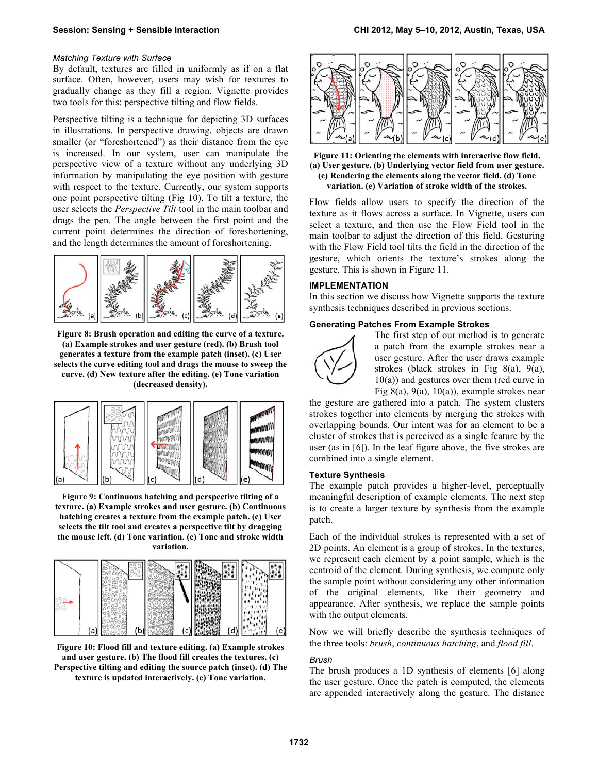#### *Matching Texture with Surface*

By default, textures are filled in uniformly as if on a flat surface. Often, however, users may wish for textures to gradually change as they fill a region. Vignette provides two tools for this: perspective tilting and flow fields.

Perspective tilting is a technique for depicting 3D surfaces in illustrations. In perspective drawing, objects are drawn smaller (or "foreshortened") as their distance from the eye is increased. In our system, user can manipulate the perspective view of a texture without any underlying 3D information by manipulating the eye position with gesture with respect to the texture. Currently, our system supports one point perspective tilting (Fig 10). To tilt a texture, the user selects the *Perspective Tilt* tool in the main toolbar and drags the pen. The angle between the first point and the current point determines the direction of foreshortening, and the length determines the amount of foreshortening.



**Figure 8: Brush operation and editing the curve of a texture. (a) Example strokes and user gesture (red). (b) Brush tool generates a texture from the example patch (inset). (c) User selects the curve editing tool and drags the mouse to sweep the curve. (d) New texture after the editing. (e) Tone variation (decreased density).**



**Figure 9: Continuous hatching and perspective tilting of a texture. (a) Example strokes and user gesture. (b) Continuous hatching creates a texture from the example patch. (c) User selects the tilt tool and creates a perspective tilt by dragging the mouse left. (d) Tone variation. (e) Tone and stroke width variation.**



**Figure 10: Flood fill and texture editing. (a) Example strokes and user gesture. (b) The flood fill creates the textures. (c) Perspective tilting and editing the source patch (inset). (d) The texture is updated interactively. (e) Tone variation.**



**Figure 11: Orienting the elements with interactive flow field. (a) User gesture. (b) Underlying vector field from user gesture. (c) Rendering the elements along the vector field. (d) Tone variation. (e) Variation of stroke width of the strokes.**

Flow fields allow users to specify the direction of the texture as it flows across a surface. In Vignette, users can select a texture, and then use the Flow Field tool in the main toolbar to adjust the direction of this field. Gesturing with the Flow Field tool tilts the field in the direction of the gesture, which orients the texture's strokes along the gesture. This is shown in Figure 11.

#### **IMPLEMENTATION**

In this section we discuss how Vignette supports the texture synthesis techniques described in previous sections.

#### **Generating Patches From Example Strokes**



The first step of our method is to generate a patch from the example strokes near a user gesture. After the user draws example strokes (black strokes in Fig 8(a), 9(a), 10(a)) and gestures over them (red curve in Fig 8(a), 9(a), 10(a)), example strokes near

the gesture are gathered into a patch. The system clusters strokes together into elements by merging the strokes with overlapping bounds. Our intent was for an element to be a cluster of strokes that is perceived as a single feature by the user (as in [6]). In the leaf figure above, the five strokes are combined into a single element.

## **Texture Synthesis**

The example patch provides a higher-level, perceptually meaningful description of example elements. The next step is to create a larger texture by synthesis from the example patch.

Each of the individual strokes is represented with a set of 2D points. An element is a group of strokes. In the textures, we represent each element by a point sample, which is the centroid of the element. During synthesis, we compute only the sample point without considering any other information of the original elements, like their geometry and appearance. After synthesis, we replace the sample points with the output elements.

Now we will briefly describe the synthesis techniques of the three tools: *brush*, *continuous hatching*, and *flood fill*.

#### *Brush*

The brush produces a 1D synthesis of elements [6] along the user gesture. Once the patch is computed, the elements are appended interactively along the gesture. The distance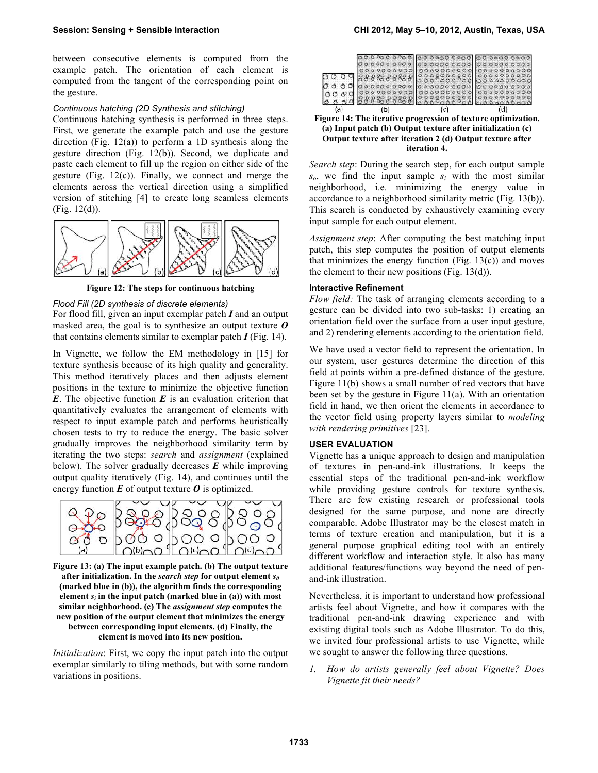between consecutive elements is computed from the example patch. The orientation of each element is computed from the tangent of the corresponding point on the gesture.

#### *Continuous hatching (2D Synthesis and stitching)*

Continuous hatching synthesis is performed in three steps. First, we generate the example patch and use the gesture direction (Fig.  $12(a)$ ) to perform a 1D synthesis along the gesture direction (Fig. 12(b)). Second, we duplicate and paste each element to fill up the region on either side of the gesture (Fig. 12(c)). Finally, we connect and merge the elements across the vertical direction using a simplified version of stitching [4] to create long seamless elements (Fig. 12(d)).



**Figure 12: The steps for continuous hatching**

## *Flood Fill (2D synthesis of discrete elements)*

For flood fill, given an input exemplar patch *I* and an output masked area, the goal is to synthesize an output texture *O* that contains elements similar to exemplar patch  $I$  (Fig. 14).

In Vignette, we follow the EM methodology in [15] for texture synthesis because of its high quality and generality. This method iteratively places and then adjusts element positions in the texture to minimize the objective function *E*. The objective function *E* is an evaluation criterion that quantitatively evaluates the arrangement of elements with respect to input example patch and performs heuristically chosen tests to try to reduce the energy. The basic solver gradually improves the neighborhood similarity term by iterating the two steps: *search* and *assignment* (explained below). The solver gradually decreases *E* while improving output quality iteratively (Fig. 14), and continues until the energy function  $E$  of output texture  $O$  is optimized.



**Figure 13: (a) The input example patch. (b) The output texture** after initialization. In the *search step* for output element  $s_0$ **(marked blue in (b)), the algorithm finds the corresponding** element  $s_i$  in the input patch (marked blue in (a)) with most **similar neighborhood. (c) The** *assignment step* **computes the new position of the output element that minimizes the energy between corresponding input elements. (d) Finally, the element is moved into its new position.**

*Initialization*: First, we copy the input patch into the output exemplar similarly to tiling methods, but with some random variations in positions.

| O<br>000 | 00000000<br>00000000<br>88888888<br>0000000000<br>00000 | 0000000000<br>00000000<br>0000000<br>0000000000 | 000000000<br>0.00000000 |
|----------|---------------------------------------------------------|-------------------------------------------------|-------------------------|
| fa)      | b.                                                      | c)                                              |                         |

**Figure 14: The iterative progression of texture optimization. (a) Input patch (b) Output texture after initialization (c) Output texture after iteration 2 (d) Output texture after iteration 4.** 

*Search step*: During the search step, for each output sample *so*, we find the input sample *si* with the most similar neighborhood, i.e. minimizing the energy value in accordance to a neighborhood similarity metric (Fig. 13(b)). This search is conducted by exhaustively examining every input sample for each output element.

*Assignment step*: After computing the best matching input patch, this step computes the position of output elements that minimizes the energy function (Fig.  $13(c)$ ) and moves the element to their new positions (Fig.  $13(d)$ ).

#### **Interactive Refinement**

*Flow field:* The task of arranging elements according to a gesture can be divided into two sub-tasks: 1) creating an orientation field over the surface from a user input gesture, and 2) rendering elements according to the orientation field.

We have used a vector field to represent the orientation. In our system, user gestures determine the direction of this field at points within a pre-defined distance of the gesture. Figure 11(b) shows a small number of red vectors that have been set by the gesture in Figure 11(a). With an orientation field in hand, we then orient the elements in accordance to the vector field using property layers similar to *modeling with rendering primitives* [23].

#### **USER EVALUATION**

Vignette has a unique approach to design and manipulation of textures in pen-and-ink illustrations. It keeps the essential steps of the traditional pen-and-ink workflow while providing gesture controls for texture synthesis. There are few existing research or professional tools designed for the same purpose, and none are directly comparable. Adobe Illustrator may be the closest match in terms of texture creation and manipulation, but it is a general purpose graphical editing tool with an entirely different workflow and interaction style. It also has many additional features/functions way beyond the need of penand-ink illustration.

Nevertheless, it is important to understand how professional artists feel about Vignette, and how it compares with the traditional pen-and-ink drawing experience and with existing digital tools such as Adobe Illustrator. To do this, we invited four professional artists to use Vignette, while we sought to answer the following three questions.

*1. How do artists generally feel about Vignette? Does Vignette fit their needs?*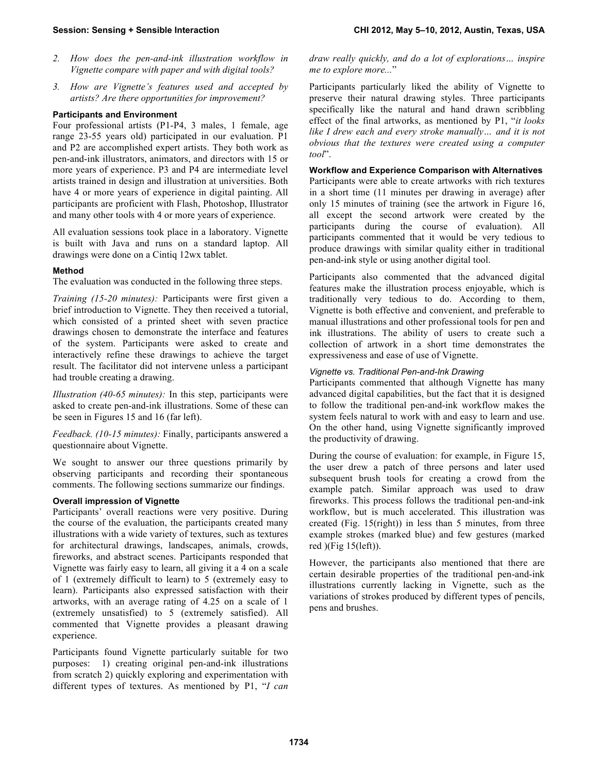- *2. How does the pen-and-ink illustration workflow in Vignette compare with paper and with digital tools?*
- *3. How are Vignette's features used and accepted by artists? Are there opportunities for improvement?*

## **Participants and Environment**

Four professional artists (P1-P4, 3 males, 1 female, age range 23-55 years old) participated in our evaluation. P1 and P2 are accomplished expert artists. They both work as pen-and-ink illustrators, animators, and directors with 15 or more years of experience. P3 and P4 are intermediate level artists trained in design and illustration at universities. Both have 4 or more years of experience in digital painting. All participants are proficient with Flash, Photoshop, Illustrator and many other tools with 4 or more years of experience.

All evaluation sessions took place in a laboratory. Vignette is built with Java and runs on a standard laptop. All drawings were done on a Cintiq 12wx tablet.

## **Method**

The evaluation was conducted in the following three steps.

*Training (15-20 minutes):* Participants were first given a brief introduction to Vignette. They then received a tutorial, which consisted of a printed sheet with seven practice drawings chosen to demonstrate the interface and features of the system. Participants were asked to create and interactively refine these drawings to achieve the target result. The facilitator did not intervene unless a participant had trouble creating a drawing.

*Illustration (40-65 minutes):* In this step, participants were asked to create pen-and-ink illustrations. Some of these can be seen in Figures 15 and 16 (far left).

*Feedback. (10-15 minutes):* Finally, participants answered a questionnaire about Vignette.

We sought to answer our three questions primarily by observing participants and recording their spontaneous comments. The following sections summarize our findings.

## **Overall impression of Vignette**

Participants' overall reactions were very positive. During the course of the evaluation, the participants created many illustrations with a wide variety of textures, such as textures for architectural drawings, landscapes, animals, crowds, fireworks, and abstract scenes. Participants responded that Vignette was fairly easy to learn, all giving it a 4 on a scale of 1 (extremely difficult to learn) to 5 (extremely easy to learn). Participants also expressed satisfaction with their artworks, with an average rating of 4.25 on a scale of 1 (extremely unsatisfied) to 5 (extremely satisfied). All commented that Vignette provides a pleasant drawing experience.

Participants found Vignette particularly suitable for two purposes: 1) creating original pen-and-ink illustrations from scratch 2) quickly exploring and experimentation with different types of textures. As mentioned by P1, "*I can* 

*draw really quickly, and do a lot of explorations… inspire me to explore more...*"

Participants particularly liked the ability of Vignette to preserve their natural drawing styles. Three participants specifically like the natural and hand drawn scribbling effect of the final artworks, as mentioned by P1, "*it looks like I drew each and every stroke manually… and it is not obvious that the textures were created using a computer tool*".

## **Workflow and Experience Comparison with Alternatives**

Participants were able to create artworks with rich textures in a short time (11 minutes per drawing in average) after only 15 minutes of training (see the artwork in Figure 16, all except the second artwork were created by the participants during the course of evaluation). All participants commented that it would be very tedious to produce drawings with similar quality either in traditional pen-and-ink style or using another digital tool.

Participants also commented that the advanced digital features make the illustration process enjoyable, which is traditionally very tedious to do. According to them, Vignette is both effective and convenient, and preferable to manual illustrations and other professional tools for pen and ink illustrations. The ability of users to create such a collection of artwork in a short time demonstrates the expressiveness and ease of use of Vignette.

## *Vignette vs. Traditional Pen-and-Ink Drawing*

Participants commented that although Vignette has many advanced digital capabilities, but the fact that it is designed to follow the traditional pen-and-ink workflow makes the system feels natural to work with and easy to learn and use. On the other hand, using Vignette significantly improved the productivity of drawing.

During the course of evaluation: for example, in Figure 15, the user drew a patch of three persons and later used subsequent brush tools for creating a crowd from the example patch. Similar approach was used to draw fireworks. This process follows the traditional pen-and-ink workflow, but is much accelerated. This illustration was created (Fig. 15(right)) in less than 5 minutes, from three example strokes (marked blue) and few gestures (marked red )(Fig 15(left)).

However, the participants also mentioned that there are certain desirable properties of the traditional pen-and-ink illustrations currently lacking in Vignette, such as the variations of strokes produced by different types of pencils, pens and brushes.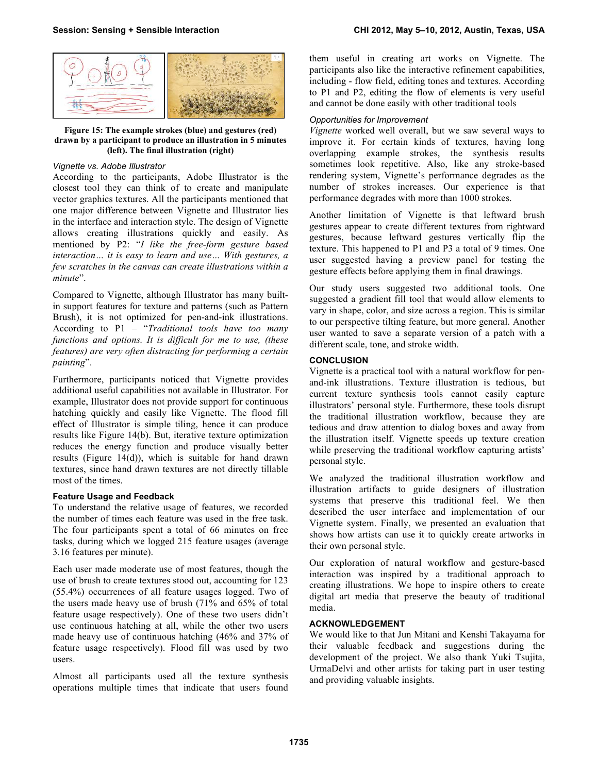

**Figure 15: The example strokes (blue) and gestures (red) drawn by a participant to produce an illustration in 5 minutes (left). The final illustration (right)**

## *Vignette vs. Adobe Illustrator*

According to the participants, Adobe Illustrator is the closest tool they can think of to create and manipulate vector graphics textures. All the participants mentioned that one major difference between Vignette and Illustrator lies in the interface and interaction style. The design of Vignette allows creating illustrations quickly and easily. As mentioned by P2: "*I like the free-form gesture based interaction… it is easy to learn and use… With gestures, a few scratches in the canvas can create illustrations within a minute*".

Compared to Vignette, although Illustrator has many builtin support features for texture and patterns (such as Pattern Brush), it is not optimized for pen-and-ink illustrations. According to P1 – "*Traditional tools have too many functions and options. It is difficult for me to use, (these features) are very often distracting for performing a certain painting*".

Furthermore, participants noticed that Vignette provides additional useful capabilities not available in Illustrator. For example, Illustrator does not provide support for continuous hatching quickly and easily like Vignette. The flood fill effect of Illustrator is simple tiling, hence it can produce results like Figure 14(b). But, iterative texture optimization reduces the energy function and produce visually better results (Figure 14(d)), which is suitable for hand drawn textures, since hand drawn textures are not directly tillable most of the times.

## **Feature Usage and Feedback**

To understand the relative usage of features, we recorded the number of times each feature was used in the free task. The four participants spent a total of 66 minutes on free tasks, during which we logged 215 feature usages (average 3.16 features per minute).

Each user made moderate use of most features, though the use of brush to create textures stood out, accounting for 123 (55.4%) occurrences of all feature usages logged. Two of the users made heavy use of brush (71% and 65% of total feature usage respectively). One of these two users didn't use continuous hatching at all, while the other two users made heavy use of continuous hatching (46% and 37% of feature usage respectively). Flood fill was used by two users.

Almost all participants used all the texture synthesis operations multiple times that indicate that users found

them useful in creating art works on Vignette. The participants also like the interactive refinement capabilities, including - flow field, editing tones and textures. According to P1 and P2, editing the flow of elements is very useful and cannot be done easily with other traditional tools

## *Opportunities for Improvement*

*Vignette* worked well overall, but we saw several ways to improve it. For certain kinds of textures, having long overlapping example strokes, the synthesis results sometimes look repetitive. Also, like any stroke-based rendering system, Vignette's performance degrades as the number of strokes increases. Our experience is that performance degrades with more than 1000 strokes.

Another limitation of Vignette is that leftward brush gestures appear to create different textures from rightward gestures, because leftward gestures vertically flip the texture. This happened to P1 and P3 a total of 9 times. One user suggested having a preview panel for testing the gesture effects before applying them in final drawings.

Our study users suggested two additional tools. One suggested a gradient fill tool that would allow elements to vary in shape, color, and size across a region. This is similar to our perspective tilting feature, but more general. Another user wanted to save a separate version of a patch with a different scale, tone, and stroke width.

## **CONCLUSION**

Vignette is a practical tool with a natural workflow for penand-ink illustrations. Texture illustration is tedious, but current texture synthesis tools cannot easily capture illustrators' personal style. Furthermore, these tools disrupt the traditional illustration workflow, because they are tedious and draw attention to dialog boxes and away from the illustration itself. Vignette speeds up texture creation while preserving the traditional workflow capturing artists' personal style.

We analyzed the traditional illustration workflow and illustration artifacts to guide designers of illustration systems that preserve this traditional feel. We then described the user interface and implementation of our Vignette system. Finally, we presented an evaluation that shows how artists can use it to quickly create artworks in their own personal style.

Our exploration of natural workflow and gesture-based interaction was inspired by a traditional approach to creating illustrations. We hope to inspire others to create digital art media that preserve the beauty of traditional media.

## **ACKNOWLEDGEMENT**

We would like to that Jun Mitani and Kenshi Takayama for their valuable feedback and suggestions during the development of the project. We also thank Yuki Tsujita, UrmaDelvi and other artists for taking part in user testing and providing valuable insights.